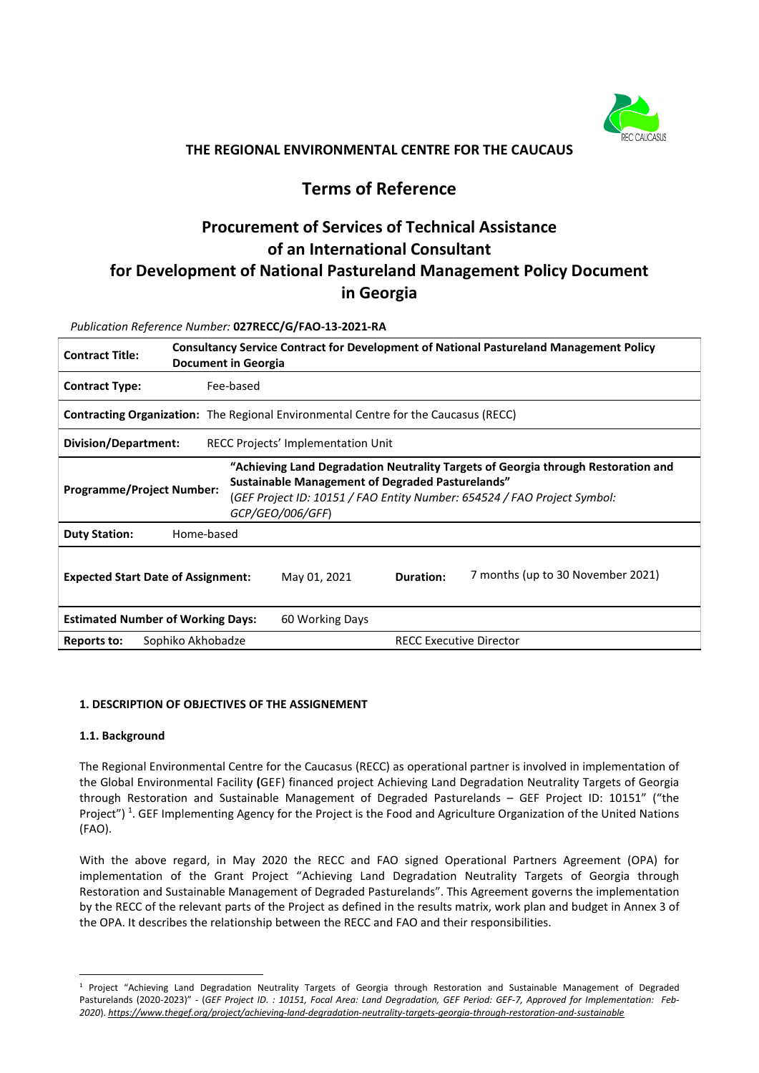

# **THE REGIONAL ENVIRONMENTAL CENTRE FOR THE CAUCAUS**

# **Terms of Reference**

# **Procurement of Services of Technical Assistance of an International Consultant for Development of National Pastureland Management Policy Document in Georgia**

*Publication Reference Number:* **027RECC/G/FAO-13-2021-RA**

| <b>Consultancy Service Contract for Development of National Pastureland Management Policy</b><br><b>Contract Title:</b><br>Document in Georgia                                                                                                                                   |           |              |                                |                                   |  |  |
|----------------------------------------------------------------------------------------------------------------------------------------------------------------------------------------------------------------------------------------------------------------------------------|-----------|--------------|--------------------------------|-----------------------------------|--|--|
| <b>Contract Type:</b>                                                                                                                                                                                                                                                            | Fee-based |              |                                |                                   |  |  |
| <b>Contracting Organization:</b> The Regional Environmental Centre for the Caucasus (RECC)                                                                                                                                                                                       |           |              |                                |                                   |  |  |
| Division/Department:<br>RECC Projects' Implementation Unit                                                                                                                                                                                                                       |           |              |                                |                                   |  |  |
| "Achieving Land Degradation Neutrality Targets of Georgia through Restoration and<br><b>Sustainable Management of Degraded Pasturelands"</b><br><b>Programme/Project Number:</b><br>(GEF Project ID: 10151 / FAO Entity Number: 654524 / FAO Project Symbol:<br>GCP/GEO/006/GFF) |           |              |                                |                                   |  |  |
| <b>Duty Station:</b><br>Home-based                                                                                                                                                                                                                                               |           |              |                                |                                   |  |  |
| <b>Expected Start Date of Assignment:</b>                                                                                                                                                                                                                                        |           | May 01, 2021 | Duration:                      | 7 months (up to 30 November 2021) |  |  |
| <b>Estimated Number of Working Days:</b><br>60 Working Days                                                                                                                                                                                                                      |           |              |                                |                                   |  |  |
| Sophiko Akhobadze<br>Reports to:                                                                                                                                                                                                                                                 |           |              | <b>RECC Executive Director</b> |                                   |  |  |

#### **1. DESCRIPTION OF OBJECTIVES OF THE ASSIGNEMENT**

#### **1.1. Background**

The Regional Environmental Centre for the Caucasus (RECC) as operational partner is involved in implementation of the Global Environmental Facility **(**GEF) financed project Achieving Land Degradation Neutrality Targets of Georgia through Restoration and Sustainable Management of Degraded Pasturelands – GEF Project ID: 10151" ("the Project")<sup>[1](#page-0-0)</sup>. GEF Implementing Agency for the Project is the Food and Agriculture Organization of the United Nations (FAO).

With the above regard, in May 2020 the RECC and FAO signed Operational Partners Agreement (OPA) for implementation of the Grant Project "Achieving Land Degradation Neutrality Targets of Georgia through Restoration and Sustainable Management of Degraded Pasturelands". This Agreement governs the implementation by the RECC of the relevant parts of the Project as defined in the results matrix, work plan and budget in Annex 3 of the OPA. It describes the relationship between the RECC and FAO and their responsibilities.

<span id="page-0-0"></span><sup>1</sup> Project "Achieving Land Degradation Neutrality Targets of Georgia through Restoration and Sustainable Management of Degraded Pasturelands (2020-2023)" - (*GEF Project ID. : 10151, Focal Area: Land Degradation, GEF Period: GEF-7, Approved for Implementation: Feb-2020*). *<https://www.thegef.org/project/achieving-land-degradation-neutrality-targets-georgia-through-restoration-and-sustainable>*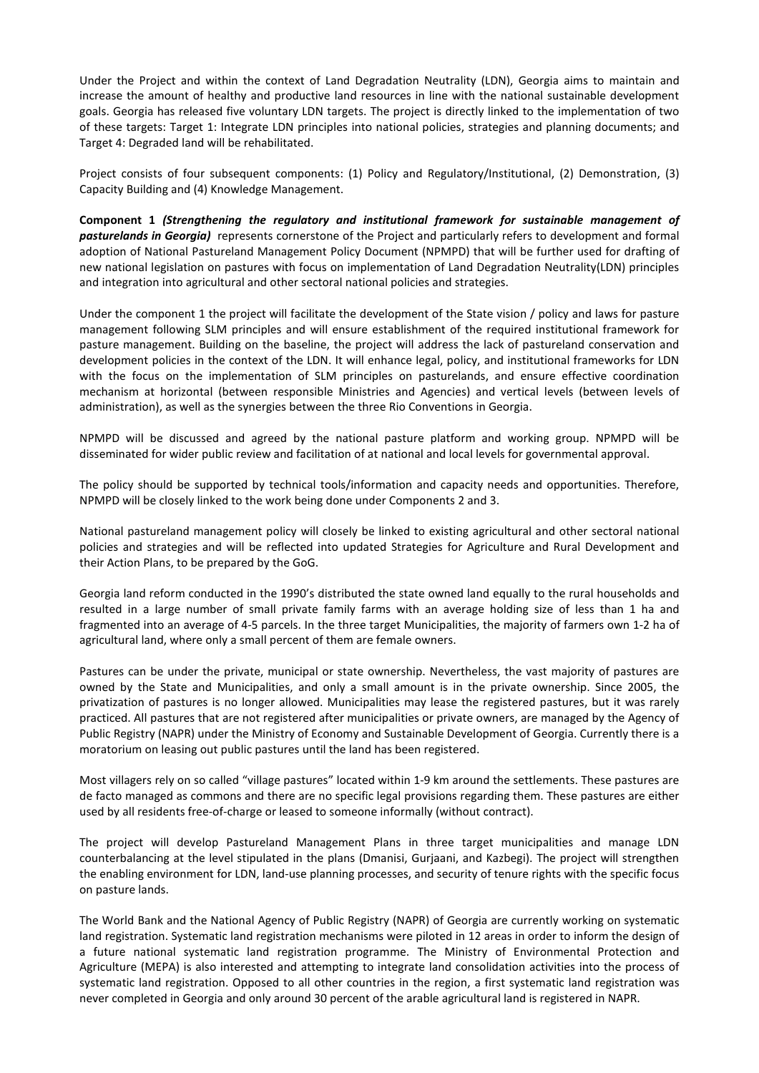Under the Project and within the context of Land Degradation Neutrality (LDN), Georgia aims to maintain and increase the amount of healthy and productive land resources in line with the national sustainable development goals. Georgia has released five voluntary LDN targets. The project is directly linked to the implementation of two of these targets: Target 1: Integrate LDN principles into national policies, strategies and planning documents; and Target 4: Degraded land will be rehabilitated.

Project consists of four subsequent components: (1) Policy and Regulatory/Institutional, (2) Demonstration, (3) Capacity Building and (4) Knowledge Management.

**Component 1** *(Strengthening the regulatory and institutional framework for sustainable management of pasturelands in Georgia)* represents cornerstone of the Project and particularly refers to development and formal adoption of National Pastureland Management Policy Document (NPMPD) that will be further used for drafting of new national legislation on pastures with focus on implementation of Land Degradation Neutrality(LDN) principles and integration into agricultural and other sectoral national policies and strategies.

Under the component 1 the project will facilitate the development of the State vision / policy and laws for pasture management following SLM principles and will ensure establishment of the required institutional framework for pasture management. Building on the baseline, the project will address the lack of pastureland conservation and development policies in the context of the LDN. It will enhance legal, policy, and institutional frameworks for LDN with the focus on the implementation of SLM principles on pasturelands, and ensure effective coordination mechanism at horizontal (between responsible Ministries and Agencies) and vertical levels (between levels of administration), as well as the synergies between the three Rio Conventions in Georgia.

NPMPD will be discussed and agreed by the national pasture platform and working group. NPMPD will be disseminated for wider public review and facilitation of at national and local levels for governmental approval.

The policy should be supported by technical tools/information and capacity needs and opportunities. Therefore, NPMPD will be closely linked to the work being done under Components 2 and 3.

National pastureland management policy will closely be linked to existing agricultural and other sectoral national policies and strategies and will be reflected into updated Strategies for Agriculture and Rural Development and their Action Plans, to be prepared by the GoG.

Georgia land reform conducted in the 1990's distributed the state owned land equally to the rural households and resulted in a large number of small private family farms with an average holding size of less than 1 ha and fragmented into an average of 4-5 parcels. In the three target Municipalities, the majority of farmers own 1-2 ha of agricultural land, where only a small percent of them are female owners.

Pastures can be under the private, municipal or state ownership. Nevertheless, the vast majority of pastures are owned by the State and Municipalities, and only a small amount is in the private ownership. Since 2005, the privatization of pastures is no longer allowed. Municipalities may lease the registered pastures, but it was rarely practiced. All pastures that are not registered after municipalities or private owners, are managed by the Agency of Public Registry (NAPR) under the Ministry of Economy and Sustainable Development of Georgia. Currently there is a moratorium on leasing out public pastures until the land has been registered.

Most villagers rely on so called "village pastures" located within 1-9 km around the settlements. These pastures are de facto managed as commons and there are no specific legal provisions regarding them. These pastures are either used by all residents free-of-charge or leased to someone informally (without contract).

The project will develop Pastureland Management Plans in three target municipalities and manage LDN counterbalancing at the level stipulated in the plans (Dmanisi, Gurjaani, and Kazbegi). The project will strengthen the enabling environment for LDN, land-use planning processes, and security of tenure rights with the specific focus on pasture lands.

The World Bank and the National Agency of Public Registry (NAPR) of Georgia are currently working on systematic land registration. Systematic land registration mechanisms were piloted in 12 areas in order to inform the design of a future national systematic land registration programme. The Ministry of Environmental Protection and Agriculture (MEPA) is also interested and attempting to integrate land consolidation activities into the process of systematic land registration. Opposed to all other countries in the region, a first systematic land registration was never completed in Georgia and only around 30 percent of the arable agricultural land is registered in NAPR.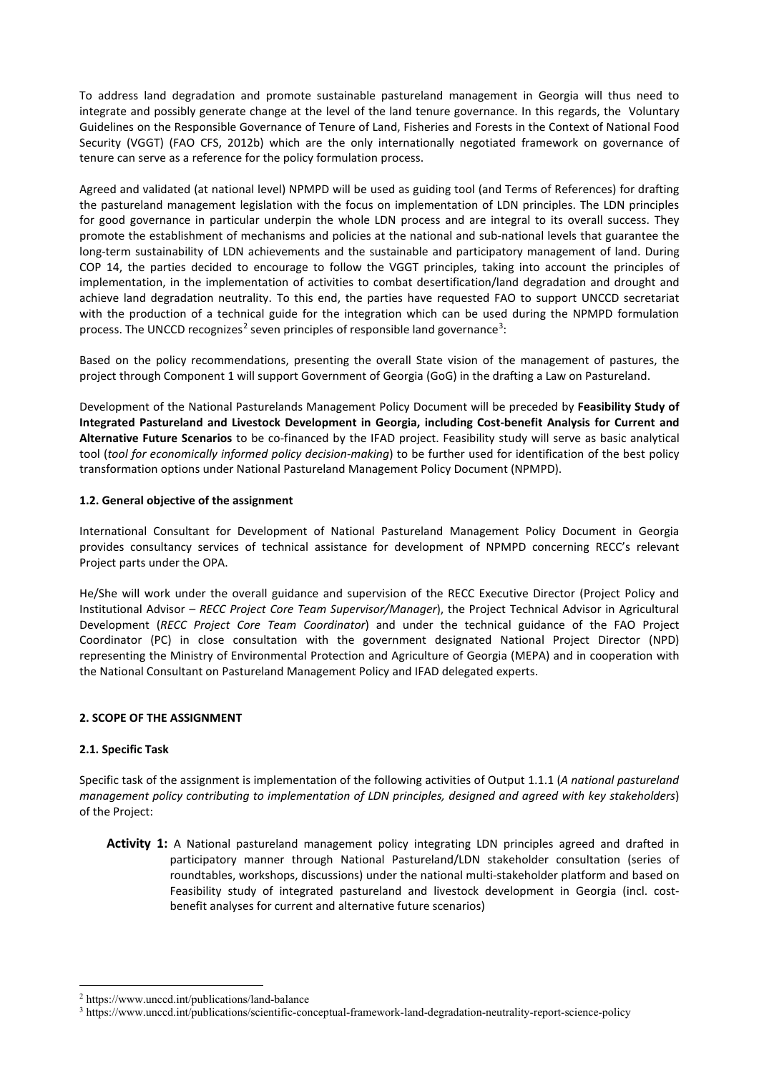To address land degradation and promote sustainable pastureland management in Georgia will thus need to integrate and possibly generate change at the level of the land tenure governance. In this regards, the Voluntary Guidelines on the Responsible Governance of Tenure of Land, Fisheries and Forests in the Context of National Food Security (VGGT) (FAO CFS, 2012b) which are the only internationally negotiated framework on governance of tenure can serve as a reference for the policy formulation process.

Agreed and validated (at national level) NPMPD will be used as guiding tool (and Terms of References) for drafting the pastureland management legislation with the focus on implementation of LDN principles. The LDN principles for good governance in particular underpin the whole LDN process and are integral to its overall success. They promote the establishment of mechanisms and policies at the national and sub-national levels that guarantee the long-term sustainability of LDN achievements and the sustainable and participatory management of land. During COP 14, the parties decided to encourage to follow the VGGT principles, taking into account the principles of implementation, in the implementation of activities to combat desertification/land degradation and drought and achieve land degradation neutrality. To this end, the parties have requested FAO to support UNCCD secretariat with the production of a technical guide for the integration which can be used during the NPMPD formulation process. The UNCCD recognizes<sup>[2](#page-2-0)</sup> seven principles of responsible land governance<sup>[3](#page-2-1)</sup>:

Based on the policy recommendations, presenting the overall State vision of the management of pastures, the project through Component 1 will support Government of Georgia (GoG) in the drafting a Law on Pastureland.

Development of the National Pasturelands Management Policy Document will be preceded by **Feasibility Study of Integrated Pastureland and Livestock Development in Georgia, including Cost-benefit Analysis for Current and Alternative Future Scenarios** to be co-financed by the IFAD project. Feasibility study will serve as basic analytical tool (*tool for economically informed policy decision-making*) to be further used for identification of the best policy transformation options under National Pastureland Management Policy Document (NPMPD).

#### **1.2. General objective of the assignment**

International Consultant for Development of National Pastureland Management Policy Document in Georgia provides consultancy services of technical assistance for development of NPMPD concerning RECC's relevant Project parts under the OPA.

He/She will work under the overall guidance and supervision of the RECC Executive Director (Project Policy and Institutional Advisor *– RECC Project Core Team Supervisor/Manager*), the Project Technical Advisor in Agricultural Development (*RECC Project Core Team Coordinator*) and under the technical guidance of the FAO Project Coordinator (PC) in close consultation with the government designated National Project Director (NPD) representing the Ministry of Environmental Protection and Agriculture of Georgia (MEPA) and in cooperation with the National Consultant on Pastureland Management Policy and IFAD delegated experts.

#### **2. SCOPE OF THE ASSIGNMENT**

#### **2.1. Specific Task**

Specific task of the assignment is implementation of the following activities of Output 1.1.1 (*A national pastureland management policy contributing to implementation of LDN principles, designed and agreed with key stakeholders*) of the Project:

**Activity 1:** A National pastureland management policy integrating LDN principles agreed and drafted in participatory manner through National Pastureland/LDN stakeholder consultation (series of roundtables, workshops, discussions) under the national multi-stakeholder platform and based on Feasibility study of integrated pastureland and livestock development in Georgia (incl. costbenefit analyses for current and alternative future scenarios)

<span id="page-2-0"></span><sup>2</sup> https://www.unccd.int/publications/land-balance

<span id="page-2-1"></span><sup>3</sup> https://www.unccd.int/publications/scientific-conceptual-framework-land-degradation-neutrality-report-science-policy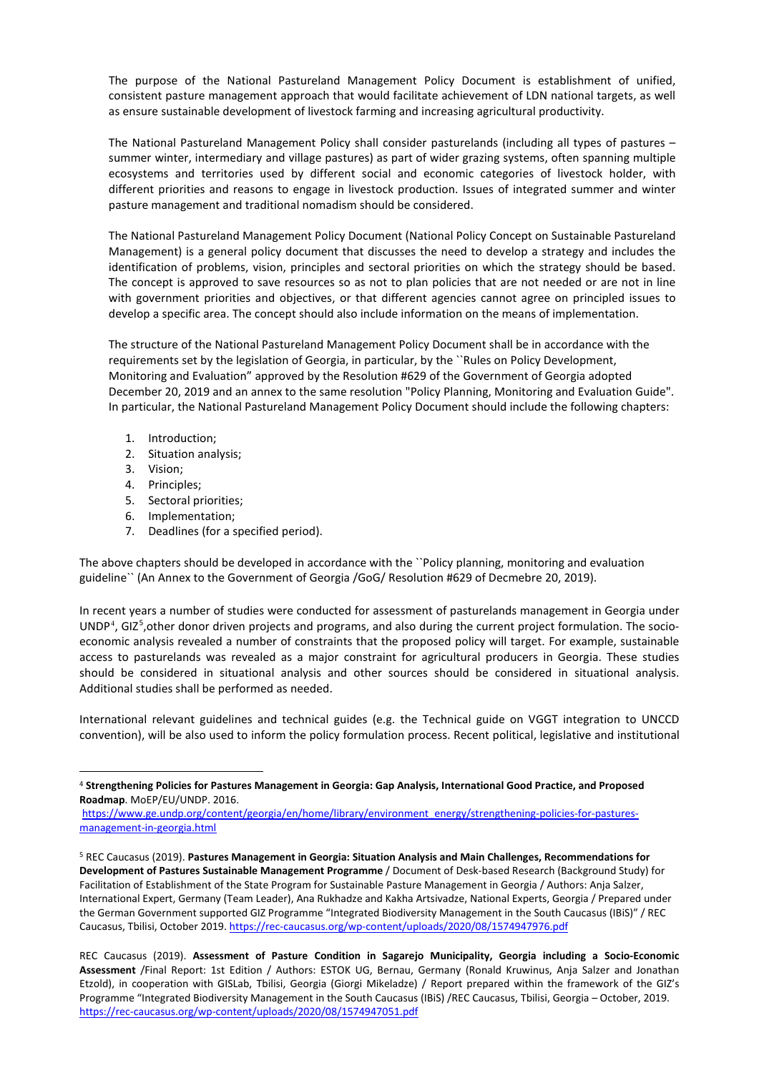The purpose of the National Pastureland Management Policy Document is establishment of unified, consistent pasture management approach that would facilitate achievement of LDN national targets, as well as ensure sustainable development of livestock farming and increasing agricultural productivity.

The National Pastureland Management Policy shall consider pasturelands (including all types of pastures – summer winter, intermediary and village pastures) as part of wider grazing systems, often spanning multiple ecosystems and territories used by different social and economic categories of livestock holder, with different priorities and reasons to engage in livestock production. Issues of integrated summer and winter pasture management and traditional nomadism should be considered.

The National Pastureland Management Policy Document (National Policy Concept on Sustainable Pastureland Management) is a general policy document that discusses the need to develop a strategy and includes the identification of problems, vision, principles and sectoral priorities on which the strategy should be based. The concept is approved to save resources so as not to plan policies that are not needed or are not in line with government priorities and objectives, or that different agencies cannot agree on principled issues to develop a specific area. The concept should also include information on the means of implementation.

The structure of the National Pastureland Management Policy Document shall be in accordance with the requirements set by the legislation of Georgia, in particular, by the ``Rules on Policy Development, Monitoring and Evaluation" approved by the Resolution #629 of the Government of Georgia adopted December 20, 2019 and an annex to the same resolution "Policy Planning, Monitoring and Evaluation Guide". In particular, the National Pastureland Management Policy Document should include the following chapters:

- 1. Introduction;
- 2. Situation analysis;
- 3. Vision;
- 4. Principles;
- 5. Sectoral priorities;
- 6. Implementation;
- 7. Deadlines (for a specified period).

The above chapters should be developed in accordance with the ``Policy planning, monitoring and evaluation guideline`` (An Annex to the Government of Georgia /GoG/ Resolution #629 of Decmebre 20, 2019).

In recent years a number of studies were conducted for assessment of pasturelands management in Georgia under UNDP<sup>[4](#page-3-0)</sup>, GIZ<sup>[5](#page-3-1)</sup>, other donor driven projects and programs, and also during the current project formulation. The socioeconomic analysis revealed a number of constraints that the proposed policy will target. For example, sustainable access to pasturelands was revealed as a major constraint for agricultural producers in Georgia. These studies should be considered in situational analysis and other sources should be considered in situational analysis. Additional studies shall be performed as needed.

International relevant guidelines and technical guides (e.g. the Technical guide on VGGT integration to UNCCD convention), will be also used to inform the policy formulation process. Recent political, legislative and institutional

[https://www.ge.undp.org/content/georgia/en/home/library/environment\\_energy/strengthening-policies-for-pastures](https://www.ge.undp.org/content/georgia/en/home/library/environment_energy/strengthening-policies-for-pastures-management-in-georgia.html)[management-in-georgia.html](https://www.ge.undp.org/content/georgia/en/home/library/environment_energy/strengthening-policies-for-pastures-management-in-georgia.html)

<span id="page-3-0"></span><sup>4</sup> **Strengthening Policies for Pastures Management in Georgia: Gap Analysis, International Good Practice, and Proposed Roadmap**. MoEP/EU/UNDP. 2016.

<span id="page-3-1"></span><sup>5</sup> REC Caucasus (2019). **Pastures Management in Georgia: Situation Analysis and Main Challenges, Recommendations for Development of Pastures Sustainable Management Programme** / Document of Desk-based Research (Background Study) for Facilitation of Establishment of the State Program for Sustainable Pasture Management in Georgia / Authors: Anja Salzer, International Expert, Germany (Team Leader), Ana Rukhadze and Kakha Artsivadze, National Experts, Georgia / Prepared under the German Government supported GIZ Programme "Integrated Biodiversity Management in the South Caucasus (IBiS)" / REC Caucasus, Tbilisi, October 2019. <https://rec-caucasus.org/wp-content/uploads/2020/08/1574947976.pdf>

REC Caucasus (2019). **Assessment of Pasture Condition in Sagarejo Municipality, Georgia including a Socio-Economic Assessment** /Final Report: 1st Edition / Authors: ESTOK UG, Bernau, Germany (Ronald Kruwinus, Anja Salzer and Jonathan Etzold), in cooperation with GISLab, Tbilisi, Georgia (Giorgi Mikeladze) / Report prepared within the framework of the GIZ's Programme "Integrated Biodiversity Management in the South Caucasus (IBiS) /REC Caucasus, Tbilisi, Georgia – October, 2019. <https://rec-caucasus.org/wp-content/uploads/2020/08/1574947051.pdf>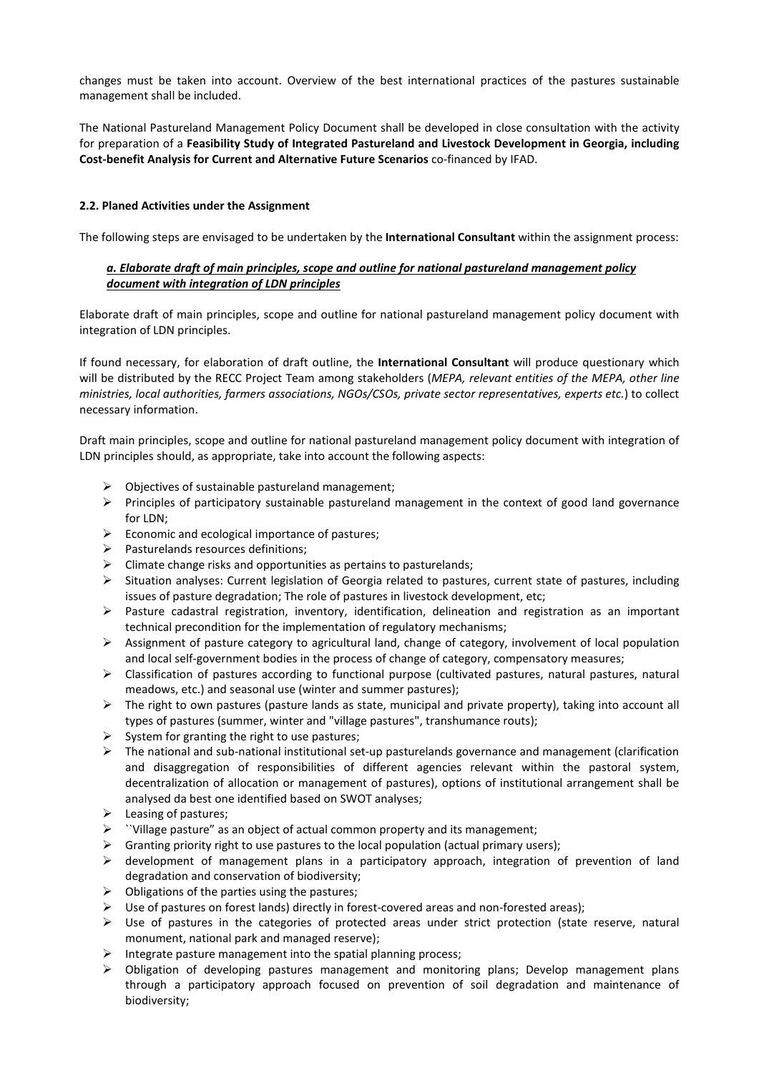changes must be taken into account. Overview of the best international practices of the pastures sustainable management shall be included.

The National Pastureland Management Policy Document shall be developed in close consultation with the activity for preparation of a **Feasibility Study of Integrated Pastureland and Livestock Development in Georgia, including Cost-benefit Analysis for Current and Alternative Future Scenarios** co-financed by IFAD.

# **2.2. Planed Activities under the Assignment**

The following steps are envisaged to be undertaken by the **International Consultant** within the assignment process:

# *a. Elaborate draft of main principles, scope and outline for national pastureland management policy document with integration of LDN principles*

Elaborate draft of main principles, scope and outline for national pastureland management policy document with integration of LDN principles.

If found necessary, for elaboration of draft outline, the **International Consultant** will produce questionary which will be distributed by the RECC Project Team among stakeholders (*MEPA, relevant entities of the MEPA, other line ministries, local authorities, farmers associations, NGOs/CSOs, private sector representatives, experts etc.*) to collect necessary information.

Draft main principles, scope and outline for national pastureland management policy document with integration of LDN principles should, as appropriate, take into account the following aspects:

- $\triangleright$  Objectives of sustainable pastureland management:
- $\triangleright$  Principles of participatory sustainable pastureland management in the context of good land governance for LDN;
- $\triangleright$  Economic and ecological importance of pastures;
- Pasturelands resources definitions;
- Climate change risks and opportunities as pertains to pasturelands;
- Situation analyses: Current legislation of Georgia related to pastures, current state of pastures, including issues of pasture degradation; The role of pastures in livestock development, etc;
- $\triangleright$  Pasture cadastral registration, inventory, identification, delineation and registration as an important technical precondition for the implementation of regulatory mechanisms;
- $\triangleright$  Assignment of pasture category to agricultural land, change of category, involvement of local population and local self-government bodies in the process of change of category, compensatory measures;
- $\triangleright$  Classification of pastures according to functional purpose (cultivated pastures, natural pastures, natural meadows, etc.) and seasonal use (winter and summer pastures);
- $\triangleright$  The right to own pastures (pasture lands as state, municipal and private property), taking into account all types of pastures (summer, winter and "village pastures", transhumance routs);
- System for granting the right to use pastures;
- $\triangleright$  The national and sub-national institutional set-up pasturelands governance and management (clarification and disaggregation of responsibilities of different agencies relevant within the pastoral system, decentralization of allocation or management of pastures), options of institutional arrangement shall be analysed da best one identified based on SWOT analyses;
- > Leasing of pastures;
- ``Village pasture" as an object of actual common property and its management;
- $\triangleright$  Granting priority right to use pastures to the local population (actual primary users);
- $\triangleright$  development of management plans in a participatory approach, integration of prevention of land degradation and conservation of biodiversity;
- $\triangleright$  Obligations of the parties using the pastures;
- $\triangleright$  Use of pastures on forest lands) directly in forest-covered areas and non-forested areas);
- $\triangleright$  Use of pastures in the categories of protected areas under strict protection (state reserve, natural monument, national park and managed reserve);
- Integrate pasture management into the spatial planning process;
- Obligation of developing pastures management and monitoring plans; Develop management plans through a participatory approach focused on prevention of soil degradation and maintenance of biodiversity;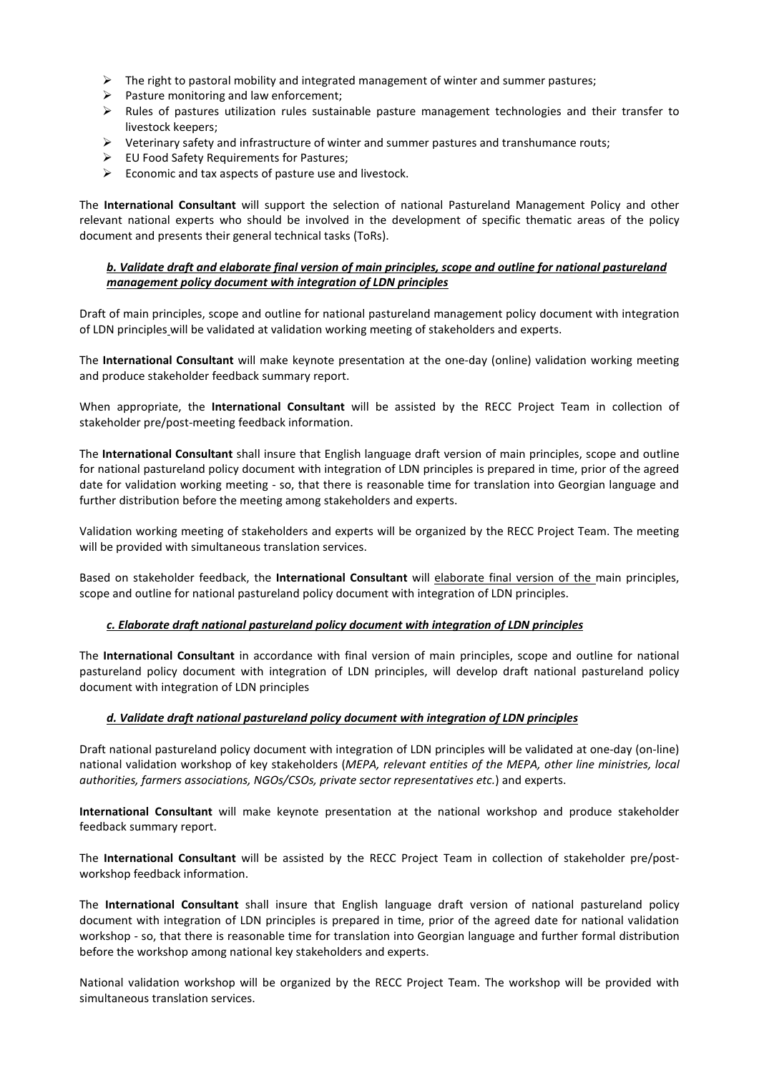- $\triangleright$  The right to pastoral mobility and integrated management of winter and summer pastures;
- $\triangleright$  Pasture monitoring and law enforcement;
- $\triangleright$  Rules of pastures utilization rules sustainable pasture management technologies and their transfer to livestock keepers;
- $\triangleright$  Veterinary safety and infrastructure of winter and summer pastures and transhumance routs;
- EU Food Safety Requirements for Pastures;
- $\triangleright$  Economic and tax aspects of pasture use and livestock.

The **International Consultant** will support the selection of national Pastureland Management Policy and other relevant national experts who should be involved in the development of specific thematic areas of the policy document and presents their general technical tasks (ToRs).

# *b. Validate draft and elaborate final version of main principles, scope and outline for national pastureland management policy document with integration of LDN principles*

Draft of main principles, scope and outline for national pastureland management policy document with integration of LDN principles will be validated at validation working meeting of stakeholders and experts.

The **International Consultant** will make keynote presentation at the one-day (online) validation working meeting and produce stakeholder feedback summary report.

When appropriate, the **International Consultant** will be assisted by the RECC Project Team in collection of stakeholder pre/post-meeting feedback information.

The **International Consultant** shall insure that English language draft version of main principles, scope and outline for national pastureland policy document with integration of LDN principles is prepared in time, prior of the agreed date for validation working meeting - so, that there is reasonable time for translation into Georgian language and further distribution before the meeting among stakeholders and experts.

Validation working meeting of stakeholders and experts will be organized by the RECC Project Team. The meeting will be provided with simultaneous translation services.

Based on stakeholder feedback, the **International Consultant** will elaborate final version of the main principles, scope and outline for national pastureland policy document with integration of LDN principles.

#### *c. Elaborate draft national pastureland policy document with integration of LDN principles*

The **International Consultant** in accordance with final version of main principles, scope and outline for national pastureland policy document with integration of LDN principles, will develop draft national pastureland policy document with integration of LDN principles

#### *d. Validate draft national pastureland policy document with integration of LDN principles*

Draft national pastureland policy document with integration of LDN principles will be validated at one-day (on-line) national validation workshop of key stakeholders (*MEPA, relevant entities of the MEPA, other line ministries, local authorities, farmers associations, NGOs/CSOs, private sector representatives etc.*) and experts.

**International Consultant** will make keynote presentation at the national workshop and produce stakeholder feedback summary report.

The **International Consultant** will be assisted by the RECC Project Team in collection of stakeholder pre/postworkshop feedback information.

The **International Consultant** shall insure that English language draft version of national pastureland policy document with integration of LDN principles is prepared in time, prior of the agreed date for national validation workshop - so, that there is reasonable time for translation into Georgian language and further formal distribution before the workshop among national key stakeholders and experts.

National validation workshop will be organized by the RECC Project Team. The workshop will be provided with simultaneous translation services.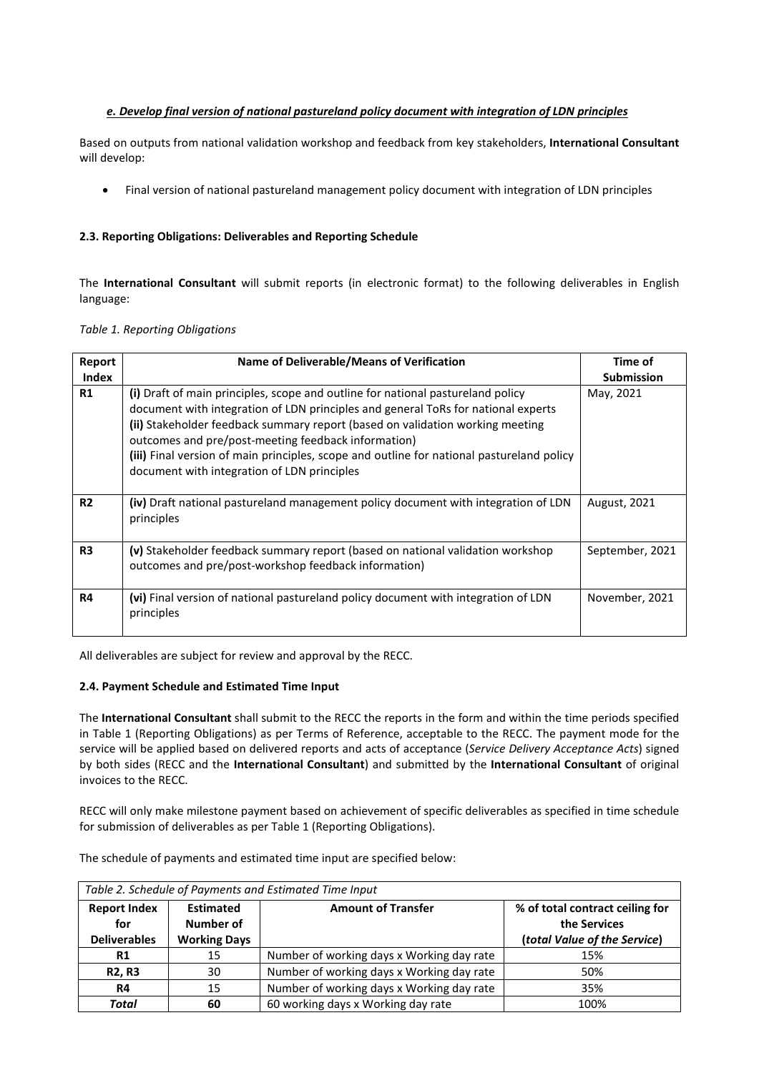# *e. Develop final version of national pastureland policy document with integration of LDN principles*

Based on outputs from national validation workshop and feedback from key stakeholders, **International Consultant** will develop:

• Final version of national pastureland management policy document with integration of LDN principles

# **2.3. Reporting Obligations: Deliverables and Reporting Schedule**

The **International Consultant** will submit reports (in electronic format) to the following deliverables in English language:

|  |  | Table 1. Reporting Obligations |
|--|--|--------------------------------|
|--|--|--------------------------------|

| Report<br><b>Index</b> | Name of Deliverable/Means of Verification                                                                                                                                                                                                                                                                                                                                                                                                                | Time of<br><b>Submission</b> |
|------------------------|----------------------------------------------------------------------------------------------------------------------------------------------------------------------------------------------------------------------------------------------------------------------------------------------------------------------------------------------------------------------------------------------------------------------------------------------------------|------------------------------|
| R1                     | (i) Draft of main principles, scope and outline for national pastureland policy<br>document with integration of LDN principles and general ToRs for national experts<br>(ii) Stakeholder feedback summary report (based on validation working meeting<br>outcomes and pre/post-meeting feedback information)<br>(iii) Final version of main principles, scope and outline for national pastureland policy<br>document with integration of LDN principles | May, 2021                    |
| R <sub>2</sub>         | (iv) Draft national pastureland management policy document with integration of LDN<br>principles                                                                                                                                                                                                                                                                                                                                                         | August, 2021                 |
| R <sub>3</sub>         | (v) Stakeholder feedback summary report (based on national validation workshop<br>outcomes and pre/post-workshop feedback information)                                                                                                                                                                                                                                                                                                                   | September, 2021              |
| R4                     | (vi) Final version of national pastureland policy document with integration of LDN<br>principles                                                                                                                                                                                                                                                                                                                                                         | November, 2021               |

All deliverables are subject for review and approval by the RECC.

#### **2.4. Payment Schedule and Estimated Time Input**

The **International Consultant** shall submit to the RECC the reports in the form and within the time periods specified in Table 1 (Reporting Obligations) as per Terms of Reference, acceptable to the RECC. The payment mode for the service will be applied based on delivered reports and acts of acceptance (*Service Delivery Acceptance Acts*) signed by both sides (RECC and the **International Consultant**) and submitted by the **International Consultant** of original invoices to the RECC.

RECC will only make milestone payment based on achievement of specific deliverables as specified in time schedule for submission of deliverables as per Table 1 (Reporting Obligations).

The schedule of payments and estimated time input are specified below:

| Table 2. Schedule of Payments and Estimated Time Input |                     |                                           |                                 |  |  |  |  |
|--------------------------------------------------------|---------------------|-------------------------------------------|---------------------------------|--|--|--|--|
| <b>Report Index</b>                                    | <b>Estimated</b>    | <b>Amount of Transfer</b>                 | % of total contract ceiling for |  |  |  |  |
| for                                                    | Number of           |                                           | the Services                    |  |  |  |  |
| <b>Deliverables</b>                                    | <b>Working Days</b> |                                           | (total Value of the Service)    |  |  |  |  |
| R1                                                     | 15                  | Number of working days x Working day rate | 15%                             |  |  |  |  |
| <b>R2, R3</b>                                          | 30                  | Number of working days x Working day rate | 50%                             |  |  |  |  |
| R4                                                     | 15                  | Number of working days x Working day rate | 35%                             |  |  |  |  |
| Total                                                  | 60                  | 60 working days x Working day rate        | 100%                            |  |  |  |  |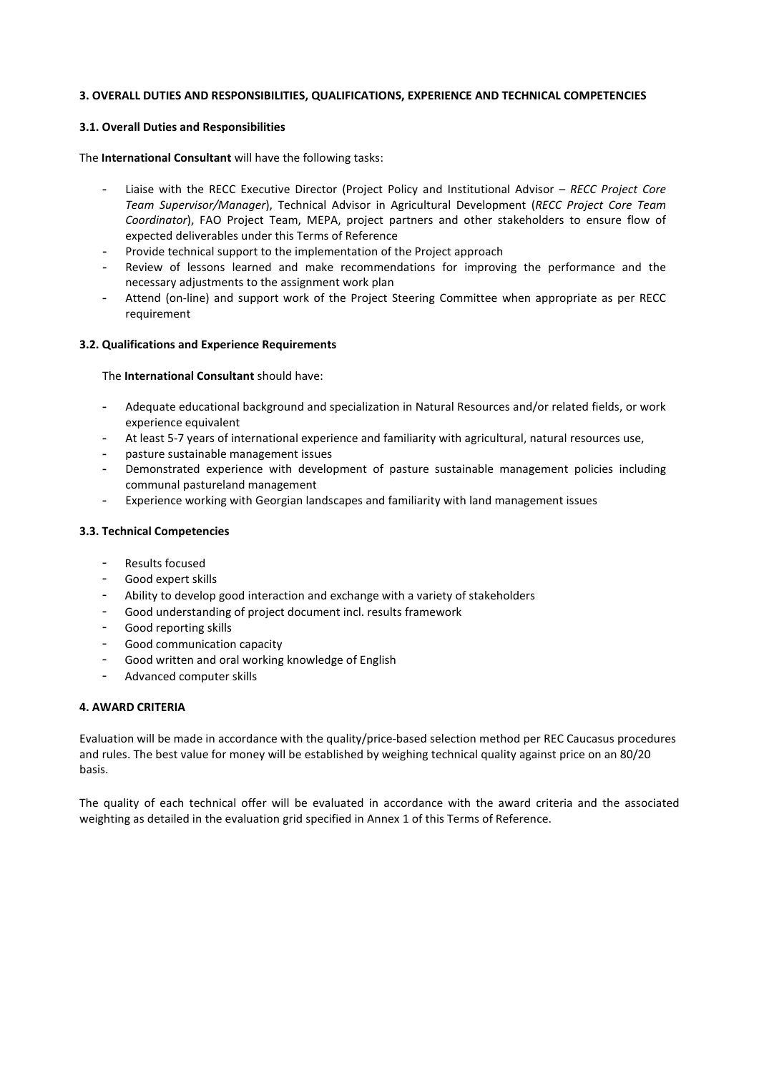#### **3. OVERALL DUTIES AND RESPONSIBILITIES, QUALIFICATIONS, EXPERIENCE AND TECHNICAL COMPETENCIES**

### **3.1. Overall Duties and Responsibilities**

The **International Consultant** will have the following tasks:

- Liaise with the RECC Executive Director (Project Policy and Institutional Advisor *– RECC Project Core Team Supervisor/Manager*), Technical Advisor in Agricultural Development (*RECC Project Core Team Coordinator*), FAO Project Team, MEPA, project partners and other stakeholders to ensure flow of expected deliverables under this Terms of Reference
- Provide technical support to the implementation of the Project approach
- Review of lessons learned and make recommendations for improving the performance and the necessary adjustments to the assignment work plan
- Attend (on-line) and support work of the Project Steering Committee when appropriate as per RECC requirement

#### **3.2. Qualifications and Experience Requirements**

The **International Consultant** should have:

- Adequate educational background and specialization in Natural Resources and/or related fields, or work experience equivalent
- At least 5-7 years of international experience and familiarity with agricultural, natural resources use,
- pasture sustainable management issues
- Demonstrated experience with development of pasture sustainable management policies including communal pastureland management
- Experience working with Georgian landscapes and familiarity with land management issues

# **3.3. Technical Competencies**

- Results focused
- Good expert skills
- Ability to develop good interaction and exchange with a variety of stakeholders
- Good understanding of project document incl. results framework
- Good reporting skills
- Good communication capacity
- Good written and oral working knowledge of English
- Advanced computer skills

#### **4. AWARD CRITERIA**

Evaluation will be made in accordance with the quality/price-based selection method per REC Caucasus procedures and rules. The best value for money will be established by weighing technical quality against price on an 80/20 basis.

The quality of each technical offer will be evaluated in accordance with the award criteria and the associated weighting as detailed in the evaluation grid specified in Annex 1 of this Terms of Reference.